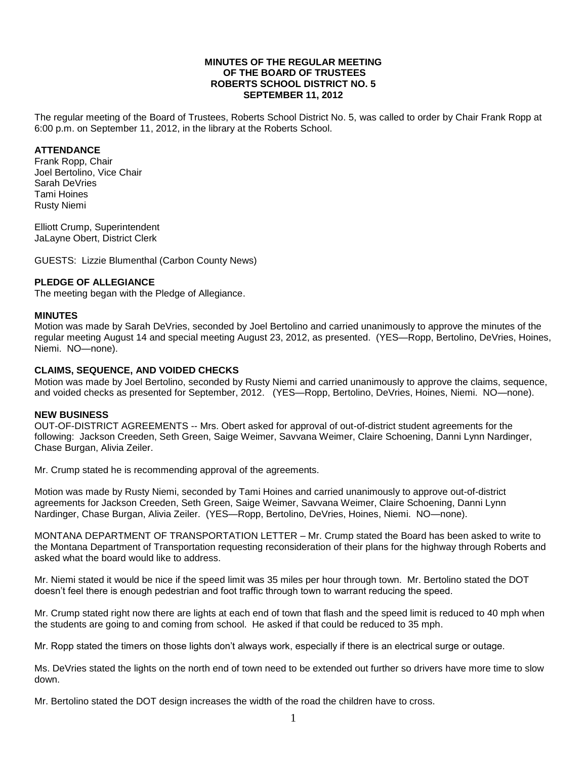#### **MINUTES OF THE REGULAR MEETING OF THE BOARD OF TRUSTEES ROBERTS SCHOOL DISTRICT NO. 5 SEPTEMBER 11, 2012**

The regular meeting of the Board of Trustees, Roberts School District No. 5, was called to order by Chair Frank Ropp at 6:00 p.m. on September 11, 2012, in the library at the Roberts School.

### **ATTENDANCE**

Frank Ropp, Chair Joel Bertolino, Vice Chair Sarah DeVries Tami Hoines Rusty Niemi

Elliott Crump, Superintendent JaLayne Obert, District Clerk

GUESTS: Lizzie Blumenthal (Carbon County News)

# **PLEDGE OF ALLEGIANCE**

The meeting began with the Pledge of Allegiance.

### **MINUTES**

Motion was made by Sarah DeVries, seconded by Joel Bertolino and carried unanimously to approve the minutes of the regular meeting August 14 and special meeting August 23, 2012, as presented. (YES—Ropp, Bertolino, DeVries, Hoines, Niemi. NO—none).

# **CLAIMS, SEQUENCE, AND VOIDED CHECKS**

Motion was made by Joel Bertolino, seconded by Rusty Niemi and carried unanimously to approve the claims, sequence, and voided checks as presented for September, 2012. (YES—Ropp, Bertolino, DeVries, Hoines, Niemi. NO—none).

### **NEW BUSINESS**

OUT-OF-DISTRICT AGREEMENTS -- Mrs. Obert asked for approval of out-of-district student agreements for the following: Jackson Creeden, Seth Green, Saige Weimer, Savvana Weimer, Claire Schoening, Danni Lynn Nardinger, Chase Burgan, Alivia Zeiler.

Mr. Crump stated he is recommending approval of the agreements.

Motion was made by Rusty Niemi, seconded by Tami Hoines and carried unanimously to approve out-of-district agreements for Jackson Creeden, Seth Green, Saige Weimer, Savvana Weimer, Claire Schoening, Danni Lynn Nardinger, Chase Burgan, Alivia Zeiler. (YES—Ropp, Bertolino, DeVries, Hoines, Niemi. NO—none).

MONTANA DEPARTMENT OF TRANSPORTATION LETTER – Mr. Crump stated the Board has been asked to write to the Montana Department of Transportation requesting reconsideration of their plans for the highway through Roberts and asked what the board would like to address.

Mr. Niemi stated it would be nice if the speed limit was 35 miles per hour through town. Mr. Bertolino stated the DOT doesn't feel there is enough pedestrian and foot traffic through town to warrant reducing the speed.

Mr. Crump stated right now there are lights at each end of town that flash and the speed limit is reduced to 40 mph when the students are going to and coming from school. He asked if that could be reduced to 35 mph.

Mr. Ropp stated the timers on those lights don't always work, especially if there is an electrical surge or outage.

Ms. DeVries stated the lights on the north end of town need to be extended out further so drivers have more time to slow down.

Mr. Bertolino stated the DOT design increases the width of the road the children have to cross.